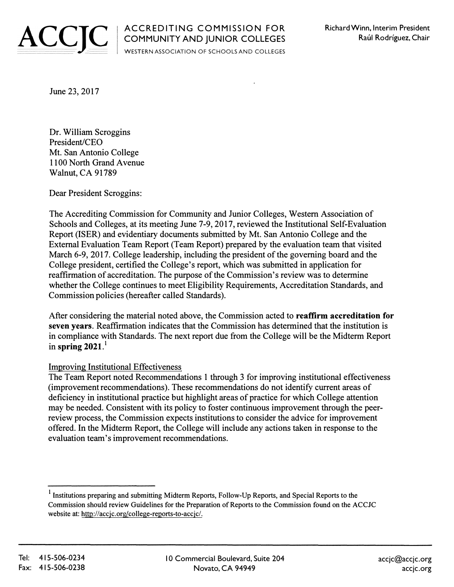

WESTERN ASSOCIATION OF SCHOOLS AND COLLEGES

June 23, 2017

Dr. William Scroggins President/CEO Mt. San Antonio College 1100 North Grand Avenue Walnut, CA 91789

Dear President Scroggins:

The Accrediting Commission for Community and Junior Colleges, Weste<sup>r</sup> n Association of Schools and Colleges, at its meeting June 7-9, 2017, reviewed the Institutional Self-Evaluation Report (ISER) and evidentiary documents submitted by Mt. San Antonio College and the External Evaluation Team Report (Team Report) prepared by the evaluation team that visited March 6-9, 2017. College leadership, including the president of the governing board and the College president, certified the College's report, which was submitted in application for reaffirmation of accreditation. The purpose of the Commission's review was to determine whether the College continues to meet Eligibility Requirements, Accreditation Standards, and Commission policies (hereafter called Standards).

After considering the material noted above, the Commission acted to reaffirm accreditation for seven years. Reaffirmation indicates that the Commission has determined that the institution is in compliance with Standards. The next report due from the College will be the Midterm Report in spring  $2021<sup>1</sup>$ 

## Improving Institutional Effectiveness

The Team Report noted Recommendations 1 through 3 for improving institutional effectiveness (improvement recommendations). These recommendations do not identify current areas of deficiency in institutional practice but highlight areas of practice for which College attention may be needed. Consistent with its policy to foster continuous improvement through the peerreview process, the Commission expects institutions to consider the advice for improvement offered. In the Midterm Report, the College will include any actions taken in response to the evaluation team's improvement recommendations.

<sup>1</sup>Institutions preparing and submitting Midterm Reports, Follow-Up Reports, and Special Reports to the Commission should review Guidelines for the Preparation of Reports to the Commission found on the ACCJC website at: http://accjc.org/college-reports-to-accjc/.